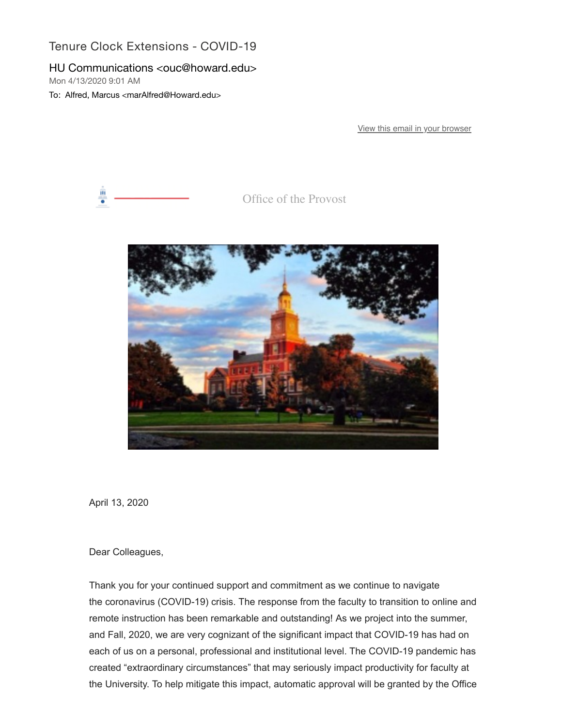## Tenure Clock Extensions - COVID-19

## HU Communications <ouc@howard.edu>

Mon 4/13/2020 9:01 AM

To: Alfred, Marcus <marAlfred@Howard.edu>

[View this email in your browser](https://nam04.safelinks.protection.outlook.com/?url=https%3A%2F%2Fmailchi.mp%2Fae9f6661b127%2Ftenure-clock-extensions-covid-19%3Fe%3D0058eb68db&data=02%7C01%7CmarAlfred%40Howard.edu%7C864dcdadebc841e8473c08d7dfaad28f%7C02ac0c07b75f46bf9b133630ba94bb69%7C0%7C0%7C637223797075731901&sdata=DJMy3LSQ3SVTMeCx3qJFZj5wT52T0S9E8P2EBNPGO3Q%3D&reserved=0)



Office of the Provost



April 13, 2020

Dear Colleagues,

Thank you for your continued support and commitment as we continue to navigate the coronavirus (COVID-19) crisis. The response from the faculty to transition to online and remote instruction has been remarkable and outstanding! As we project into the summer, and Fall, 2020, we are very cognizant of the significant impact that COVID-19 has had on each of us on a personal, professional and institutional level. The COVID-19 pandemic has created "extraordinary circumstances" that may seriously impact productivity for faculty at the University. To help mitigate this impact, automatic approval will be granted by the Office